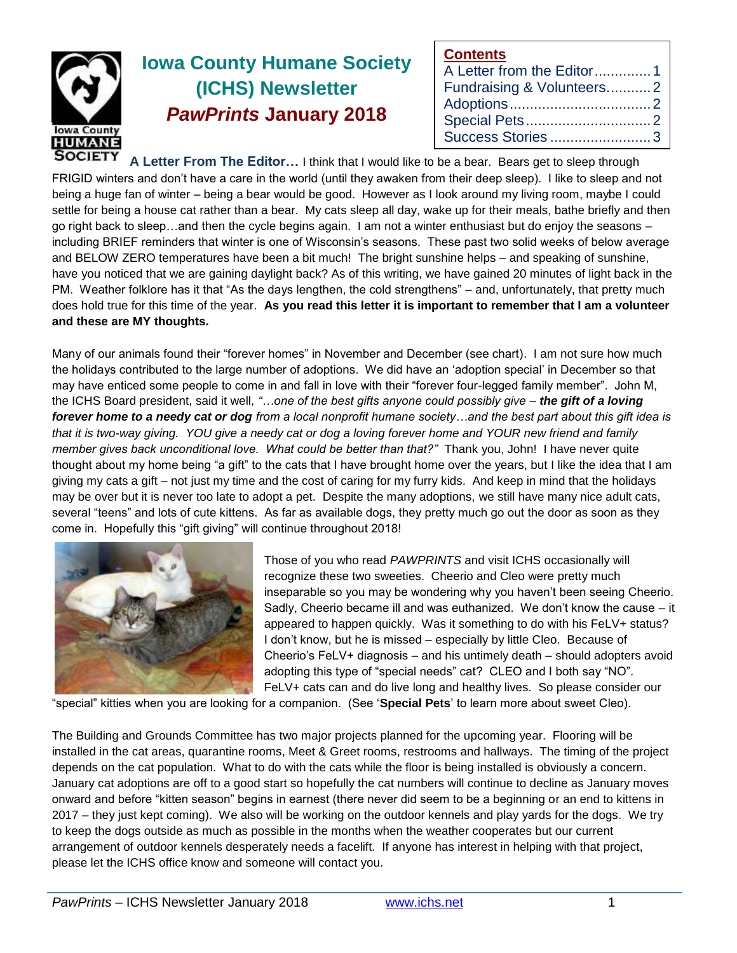

# **Iowa County Humane Society (ICHS) Newsletter** *PawPrints* **January 2018**

| <b>Contents</b>           |  |
|---------------------------|--|
| A Letter from the Editor1 |  |
| Fundraising & Volunteers2 |  |
|                           |  |
|                           |  |
| Success Stories3          |  |

**A Letter From The Editor…** I think that I would like to be a bear. Bears get to sleep through FRIGID winters and don't have a care in the world (until they awaken from their deep sleep). I like to sleep and not being a huge fan of winter – being a bear would be good. However as I look around my living room, maybe I could settle for being a house cat rather than a bear. My cats sleep all day, wake up for their meals, bathe briefly and then go right back to sleep…and then the cycle begins again. I am not a winter enthusiast but do enjoy the seasons – including BRIEF reminders that winter is one of Wisconsin's seasons. These past two solid weeks of below average and BELOW ZERO temperatures have been a bit much! The bright sunshine helps – and speaking of sunshine, have you noticed that we are gaining daylight back? As of this writing, we have gained 20 minutes of light back in the PM. Weather folklore has it that "As the days lengthen, the cold strengthens" – and, unfortunately, that pretty much does hold true for this time of the year. **As you read this letter it is important to remember that I am a volunteer and these are MY thoughts.**

Many of our animals found their "forever homes" in November and December (see chart). I am not sure how much the holidays contributed to the large number of adoptions. We did have an 'adoption special' in December so that may have enticed some people to come in and fall in love with their "forever four-legged family member". John M, the ICHS Board president, said it well*, "…one of the best gifts anyone could possibly give – the gift of a loving forever home to a needy cat or dog from a local nonprofit humane society…and the best part about this gift idea is that it is two-way giving. YOU give a needy cat or dog a loving forever home and YOUR new friend and family member gives back unconditional love. What could be better than that?"* Thank you, John! I have never quite thought about my home being "a gift" to the cats that I have brought home over the years, but I like the idea that I am giving my cats a gift – not just my time and the cost of caring for my furry kids. And keep in mind that the holidays may be over but it is never too late to adopt a pet. Despite the many adoptions, we still have many nice adult cats, several "teens" and lots of cute kittens. As far as available dogs, they pretty much go out the door as soon as they come in. Hopefully this "gift giving" will continue throughout 2018!



Those of you who read *PAWPRINTS* and visit ICHS occasionally will recognize these two sweeties. Cheerio and Cleo were pretty much inseparable so you may be wondering why you haven't been seeing Cheerio. Sadly, Cheerio became ill and was euthanized. We don't know the cause – it appeared to happen quickly. Was it something to do with his FeLV+ status? I don't know, but he is missed – especially by little Cleo. Because of Cheerio's FeLV+ diagnosis – and his untimely death – should adopters avoid adopting this type of "special needs" cat? CLEO and I both say "NO". FeLV+ cats can and do live long and healthy lives. So please consider our

"special" kitties when you are looking for a companion. (See '**Special Pets**' to learn more about sweet Cleo).

The Building and Grounds Committee has two major projects planned for the upcoming year. Flooring will be installed in the cat areas, quarantine rooms, Meet & Greet rooms, restrooms and hallways. The timing of the project depends on the cat population. What to do with the cats while the floor is being installed is obviously a concern. January cat adoptions are off to a good start so hopefully the cat numbers will continue to decline as January moves onward and before "kitten season" begins in earnest (there never did seem to be a beginning or an end to kittens in 2017 – they just kept coming). We also will be working on the outdoor kennels and play yards for the dogs. We try to keep the dogs outside as much as possible in the months when the weather cooperates but our current arrangement of outdoor kennels desperately needs a facelift. If anyone has interest in helping with that project, please let the ICHS office know and someone will contact you.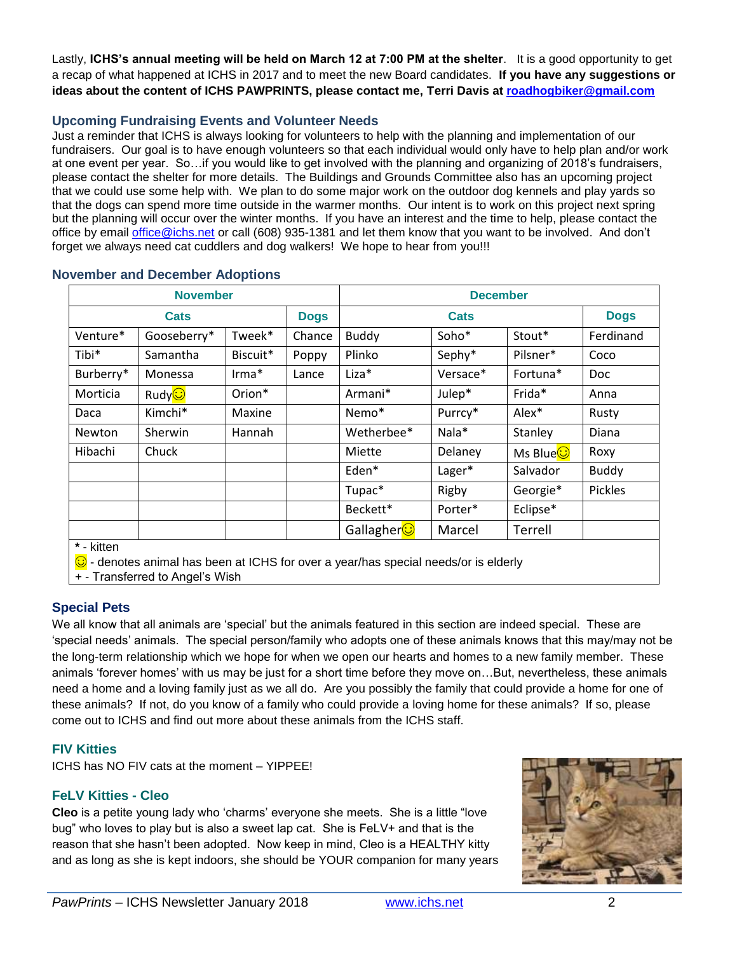Lastly, **ICHS's annual meeting will be held on March 12 at 7:00 PM at the shelter**. It is a good opportunity to get a recap of what happened at ICHS in 2017 and to meet the new Board candidates. **If you have any suggestions or ideas about the content of ICHS PAWPRINTS, please contact me, Terri Davis at [roadhogbiker@gmail.com](mailto:roadhogbiker@gmail.com)**

### **Upcoming Fundraising Events and Volunteer Needs**

Just a reminder that ICHS is always looking for volunteers to help with the planning and implementation of our fundraisers. Our goal is to have enough volunteers so that each individual would only have to help plan and/or work at one event per year. So…if you would like to get involved with the planning and organizing of 2018's fundraisers, please contact the shelter for more details. The Buildings and Grounds Committee also has an upcoming project that we could use some help with. We plan to do some major work on the outdoor dog kennels and play yards so that the dogs can spend more time outside in the warmer months. Our intent is to work on this project next spring but the planning will occur over the winter months. If you have an interest and the time to help, please contact the office by email [office@ichs.net](mailto:office@ichs.net) or call (608) 935-1381 and let them know that you want to be involved. And don't forget we always need cat cuddlers and dog walkers! We hope to hear from you!!!

| <b>November</b> |                     |                 |             | <b>December</b>        |          |                     |              |
|-----------------|---------------------|-----------------|-------------|------------------------|----------|---------------------|--------------|
| Cats            |                     |                 | <b>Dogs</b> | Cats                   |          |                     | <b>Dogs</b>  |
| Venture*        | Gooseberry*         | Tweek*          | Chance      | <b>Buddy</b>           | Soho*    | Stout*              | Ferdinand    |
| Tibi*           | Samantha            | Biscuit*        | Poppy       | Plinko                 | Sephy*   | Pilsner*            | Coco         |
| Burberry*       | Monessa             | $\text{lrma}^*$ | Lance       | Liza*                  | Versace* | Fortuna*            | <b>Doc</b>   |
| Morticia        | Rudy <mark>⊙</mark> | Orion*          |             | Armani*                | Julep*   | Frida*              | Anna         |
| Daca            | Kimchi*             | Maxine          |             | Nemo*                  | Purrcy*  | Alex*               | Rusty        |
| <b>Newton</b>   | Sherwin             | Hannah          |             | Wetherbee*             | Nala*    | Stanley             | Diana        |
| Hibachi         | Chuck               |                 |             | Miette                 | Delaney  | Ms Blue <sup></sup> | Roxy         |
|                 |                     |                 |             | Eden*                  | Lager*   | Salvador            | <b>Buddy</b> |
|                 |                     |                 |             | Tupac*                 | Rigby    | Georgie*            | Pickles      |
|                 |                     |                 |             | Beckett*               | Porter*  | Eclipse*            |              |
|                 |                     |                 |             | Gallagher <sup>1</sup> | Marcel   | Terrell             |              |

#### **November and December Adoptions**

**\*** - kitten

**C** - denotes animal has been at ICHS for over a year/has special needs/or is elderly

+ - Transferred to Angel's Wish

### **Special Pets**

We all know that all animals are 'special' but the animals featured in this section are indeed special. These are 'special needs' animals. The special person/family who adopts one of these animals knows that this may/may not be the long-term relationship which we hope for when we open our hearts and homes to a new family member. These animals 'forever homes' with us may be just for a short time before they move on…But, nevertheless, these animals need a home and a loving family just as we all do. Are you possibly the family that could provide a home for one of these animals? If not, do you know of a family who could provide a loving home for these animals? If so, please come out to ICHS and find out more about these animals from the ICHS staff.

## **FIV Kitties**

ICHS has NO FIV cats at the moment – YIPPEE!

### **FeLV Kitties - Cleo**

**Cleo** is a petite young lady who 'charms' everyone she meets. She is a little "love bug" who loves to play but is also a sweet lap cat. She is FeLV+ and that is the reason that she hasn't been adopted. Now keep in mind, Cleo is a HEALTHY kitty and as long as she is kept indoors, she should be YOUR companion for many years

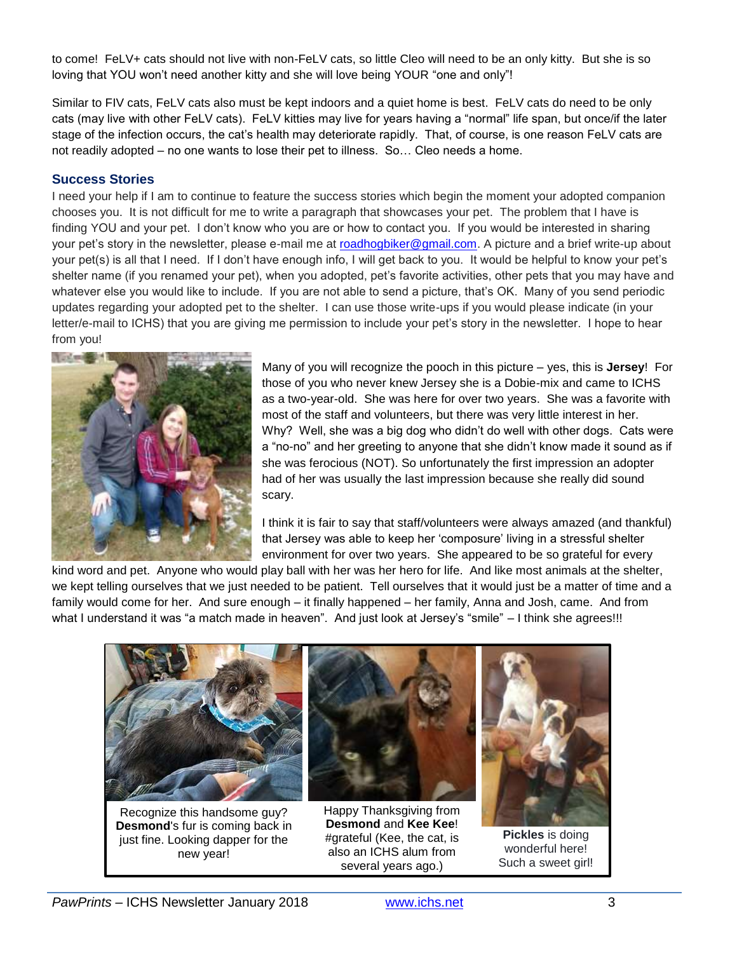to come! FeLV+ cats should not live with non-FeLV cats, so little Cleo will need to be an only kitty. But she is so loving that YOU won't need another kitty and she will love being YOUR "one and only"!

Similar to FIV cats, FeLV cats also must be kept indoors and a quiet home is best. FeLV cats do need to be only cats (may live with other FeLV cats). FeLV kitties may live for years having a "normal" life span, but once/if the later stage of the infection occurs, the cat's health may deteriorate rapidly. That, of course, is one reason FeLV cats are not readily adopted – no one wants to lose their pet to illness. So… Cleo needs a home.

#### **Success Stories**

I need your help if I am to continue to feature the success stories which begin the moment your adopted companion chooses you. It is not difficult for me to write a paragraph that showcases your pet. The problem that I have is finding YOU and your pet. I don't know who you are or how to contact you. If you would be interested in sharing your pet's story in the newsletter, please e-mail me at [roadhogbiker@gmail.com.](mailto:roadhogbiker@gmail.com) A picture and a brief write-up about your pet(s) is all that I need. If I don't have enough info, I will get back to you. It would be helpful to know your pet's shelter name (if you renamed your pet), when you adopted, pet's favorite activities, other pets that you may have and whatever else you would like to include. If you are not able to send a picture, that's OK. Many of you send periodic updates regarding your adopted pet to the shelter. I can use those write-ups if you would please indicate (in your letter/e-mail to ICHS) that you are giving me permission to include your pet's story in the newsletter. I hope to hear from you!



Many of you will recognize the pooch in this picture – yes, this is **Jersey**! For those of you who never knew Jersey she is a Dobie-mix and came to ICHS as a two-year-old. She was here for over two years. She was a favorite with most of the staff and volunteers, but there was very little interest in her. Why? Well, she was a big dog who didn't do well with other dogs. Cats were a "no-no" and her greeting to anyone that she didn't know made it sound as if she was ferocious (NOT). So unfortunately the first impression an adopter had of her was usually the last impression because she really did sound scary.

I think it is fair to say that staff/volunteers were always amazed (and thankful) that Jersey was able to keep her 'composure' living in a stressful shelter environment for over two years. She appeared to be so grateful for every

kind word and pet. Anyone who would play ball with her was her hero for life. And like most animals at the shelter, we kept telling ourselves that we just needed to be patient. Tell ourselves that it would just be a matter of time and a family would come for her. And sure enough – it finally happened – her family, Anna and Josh, came. And from what I understand it was "a match made in heaven". And just look at Jersey's "smile" – I think she agrees!!!



Recognize this handsome guy? **Desmond**'s fur is coming back in just fine. Looking dapper for the new year!



Happy Thanksgiving from **Desmond** and **Kee Kee**! #grateful (Kee, the cat, is also an ICHS alum from several years ago.)



**Pickles** is doing wonderful here! Such a sweet girl!